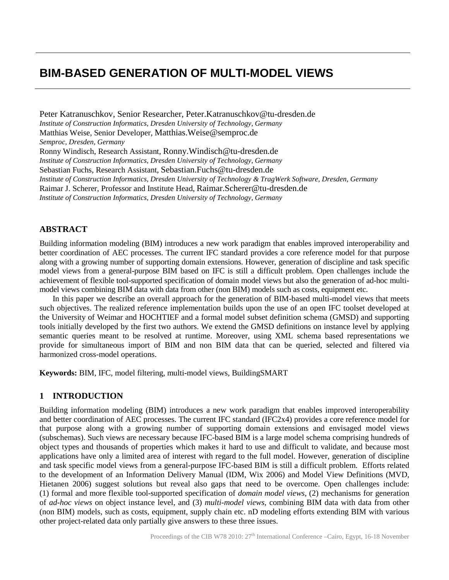# **BIM-BASED GENERATION OF MULTI-MODEL VIEWS**

Peter Katranuschkov, Senior Researcher, [Peter.Katranuschkov@tu-dresden.de](mailto:Peter.Katranuschkov@tu-dresden.de) *Institute of Construction Informatics, Dresden University of Technology, Germany* Matthias Weise, Senior Developer, [Matthias.Weise@semproc.de](mailto:Matthias.Weise@semproc.de) *Semproc, Dresden, Germany* Ronny Windisch, Research Assistant, [Ronny.Windisch@tu-dresden.de](mailto:Ronny.Windisch@tu-dresden.de) *Institute of Construction Informatics, Dresden University of Technology, Germany* Sebastian Fuchs, Research Assistant, [Sebastian.Fuchs@tu-dresden.de](mailto:Sebastian.Fuchs@tu-dresden.de) *Institute of Construction Informatics, Dresden University of Technology & TragWerk Software, Dresden, Germany* Raimar J. Scherer, Professor and Institute Head, [Raimar.Scherer@tu-dresden.de](mailto:Raimar.Scherer@tu-dresden.de) *Institute of Construction Informatics, Dresden University of Technology, Germany*

# **ABSTRACT**

Building information modeling (BIM) introduces a new work paradigm that enables improved interoperability and better coordination of AEC processes. The current IFC standard provides a core reference model for that purpose along with a growing number of supporting domain extensions. However, generation of discipline and task specific model views from a general-purpose BIM based on IFC is still a difficult problem. Open challenges include the achievement of flexible tool-supported specification of domain model views but also the generation of ad-hoc multimodel views combining BIM data with data from other (non BIM) models such as costs, equipment etc.

In this paper we describe an overall approach for the generation of BIM-based multi-model views that meets such objectives. The realized reference implementation builds upon the use of an open IFC toolset developed at the University of Weimar and HOCHTIEF and a formal model subset definition schema (GMSD) and supporting tools initially developed by the first two authors. We extend the GMSD definitions on instance level by applying semantic queries meant to be resolved at runtime. Moreover, using XML schema based representations we provide for simultaneous import of BIM and non BIM data that can be queried, selected and filtered via harmonized cross-model operations.

**Keywords:** BIM, IFC, model filtering, multi-model views, BuildingSMART

## **1 INTRODUCTION**

Building information modeling (BIM) introduces a new work paradigm that enables improved interoperability and better coordination of AEC processes. The current IFC standard (IFC2x4) provides a core reference model for that purpose along with a growing number of supporting domain extensions and envisaged model views (subschemas). Such views are necessary because IFC-based BIM is a large model schema comprising hundreds of object types and thousands of properties which makes it hard to use and difficult to validate, and because most applications have only a limited area of interest with regard to the full model. However, generation of discipline and task specific model views from a general-purpose IFC-based BIM is still a difficult problem. Efforts related to the development of an Information Delivery Manual (IDM, Wix 2006) and Model View Definitions (MVD, Hietanen 2006) suggest solutions but reveal also gaps that need to be overcome. Open challenges include: (1) formal and more flexible tool-supported specification of *domain model views*, (2) mechanisms for generation of *ad-hoc views* on object instance level, and (3) *multi-model views*, combining BIM data with data from other (non BIM) models, such as costs, equipment, supply chain etc. nD modeling efforts extending BIM with various other project-related data only partially give answers to these three issues.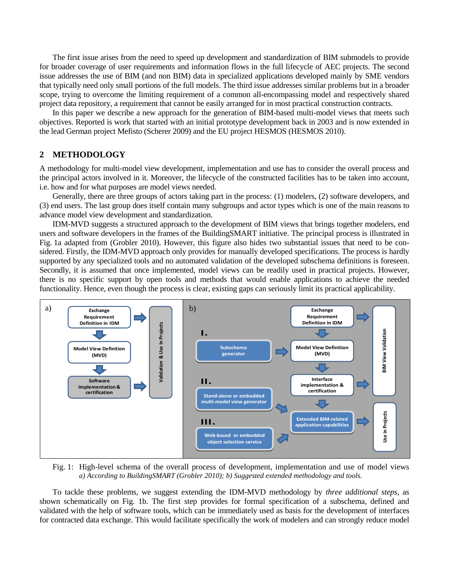The first issue arises from the need to speed up development and standardization of BIM submodels to provide for broader coverage of user requirements and information flows in the full lifecycle of AEC projects. The second issue addresses the use of BIM (and non BIM) data in specialized applications developed mainly by SME vendors that typically need only small portions of the full models. The third issue addresses similar problems but in a broader scope, trying to overcome the limiting requirement of a common all-encompassing model and respectively shared project data repository, a requirement that cannot be easily arranged for in most practical construction contracts.

In this paper we describe a new approach for the generation of BIM-based multi-model views that meets such objectives. Reported is work that started with an initial prototype development back in 2003 and is now extended in the lead German project Mefisto (Scherer 2009) and the EU project HESMOS (HESMOS 2010).

## **2 METHODOLOGY**

A methodology for multi-model view development, implementation and use has to consider the overall process and the principal actors involved in it. Moreover, the lifecycle of the constructed facilities has to be taken into account, i.e. how and for what purposes are model views needed.

Generally, there are three groups of actors taking part in the process: (1) modelers, (2) software developers, and (3) end users. The last group does itself contain many subgroups and actor types which is one of the main reasons to advance model view development and standardization.

IDM-MVD suggests a structured approach to the development of BIM views that brings together modelers, end users and software developers in the frames of the BuildingSMART initiative. The principal process is illustrated in Fig. 1a adapted from (Grobler 2010). However, this figure also hides two substantial issues that need to be considered. Firstly, the IDM-MVD approach only provides for manually developed specifications. The process is hardly supported by any specialized tools and no automated validation of the developed subschema definitions is foreseen. Secondly, it is assumed that once implemented, model views can be readily used in practical projects. However, there is no specific support by open tools and methods that would enable applications to achieve the needed functionality. Hence, even though the process is clear, existing gaps can seriously limit its practical applicability.



Fig. 1: High-level schema of the overall process of development, implementation and use of model views *a) According to BuildingSMART (Grobler 2010); b) Suggested extended methodology and tools.*

To tackle these problems, we suggest extending the IDM-MVD methodology by *three additional steps*, as shown schematically on Fig. 1b. The first step provides for formal specification of a subschema, defined and validated with the help of software tools, which can be immediately used as basis for the development of interfaces for contracted data exchange. This would facilitate specifically the work of modelers and can strongly reduce model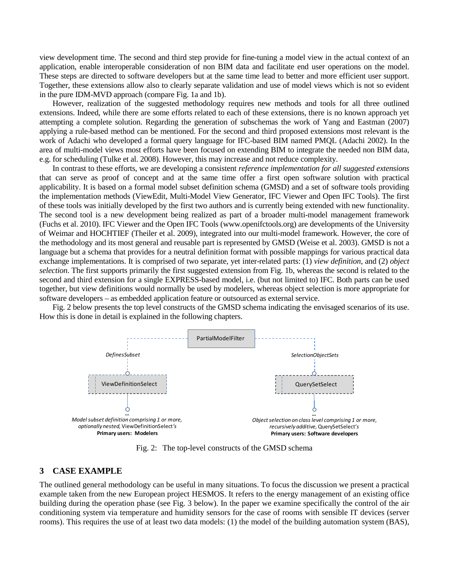view development time. The second and third step provide for fine-tuning a model view in the actual context of an application, enable interoperable consideration of non BIM data and facilitate end user operations on the model. These steps are directed to software developers but at the same time lead to better and more efficient user support. Together, these extensions allow also to clearly separate validation and use of model views which is not so evident in the pure IDM-MVD approach (compare Fig. 1a and 1b).

However, realization of the suggested methodology requires new methods and tools for all three outlined extensions. Indeed, while there are some efforts related to each of these extensions, there is no known approach yet attempting a complete solution. Regarding the generation of subschemas the work of Yang and Eastman (2007) applying a rule-based method can be mentioned. For the second and third proposed extensions most relevant is the work of Adachi who developed a formal query language for IFC-based BIM named PMQL (Adachi 2002). In the area of multi-model views most efforts have been focused on extending BIM to integrate the needed non BIM data, e.g. for scheduling (Tulke et al. 2008). However, this may increase and not reduce complexity.

In contrast to these efforts, we are developing a consistent *reference implementation for all suggested extensions* that can serve as proof of concept and at the same time offer a first open software solution with practical applicability. It is based on a formal model subset definition schema (GMSD) and a set of software tools providing the implementation methods (ViewEdit, Multi-Model View Generator, IFC Viewer and Open IFC Tools). The first of these tools was initially developed by the first two authors and is currently being extended with new functionality. The second tool is a new development being realized as part of a broader multi-model management framework (Fuchs et al. 2010). IFC Viewer and the Open IFC Tools (www.openifctools.org) are developments of the University of Weimar and HOCHTIEF (Theiler et al. 2009), integrated into our multi-model framework. However, the core of the methodology and its most general and reusable part is represented by GMSD (Weise et al. 2003). GMSD is not a language but a schema that provides for a neutral definition format with possible mappings for various practical data exchange implementations. It is comprised of two separate, yet inter-related parts: (1) *view definition*, and (2) *object selection*. The first supports primarily the first suggested extension from Fig. 1b, whereas the second is related to the second and third extension for a single EXPRESS-based model, i.e. (but not limited to) IFC. Both parts can be used together, but view definitions would normally be used by modelers, whereas object selection is more appropriate for software developers – as embedded application feature or outsourced as external service.

Fig. 2 below presents the top level constructs of the GMSD schema indicating the envisaged scenarios of its use. How this is done in detail is explained in the following chapters.



Fig. 2: The top-level constructs of the GMSD schema

## **3 CASE EXAMPLE**

The outlined general methodology can be useful in many situations. To focus the discussion we present a practical example taken from the new European project HESMOS. It refers to the energy management of an existing office building during the operation phase (see Fig. 3 below). In the paper we examine specifically the control of the air conditioning system via temperature and humidity sensors for the case of rooms with sensible IT devices (server rooms). This requires the use of at least two data models: (1) the model of the building automation system (BAS),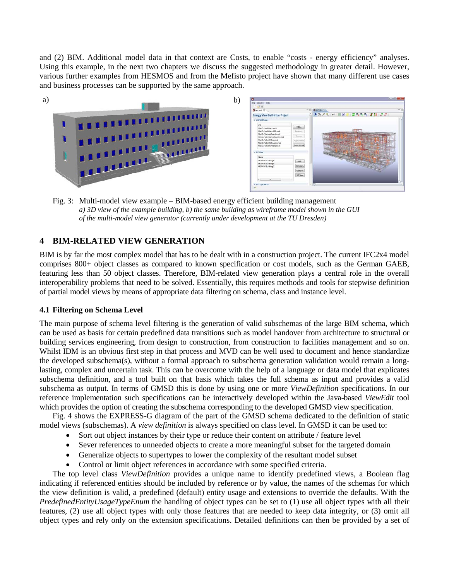and (2) BIM. Additional model data in that context are Costs, to enable "costs - energy efficiency" analyses. Using this example, in the next two chapters we discuss the suggested methodology in greater detail. However, various further examples from HESMOS and from the Mefisto project have shown that many different use cases and business processes can be supported by the same approach.



Fig. 3: Multi-model view example – BIM-based energy efficient building management *a) 3D view of the example building, b) the same building as wireframe model shown in the GUI of the multi-model view generator (currently under development at the TU Dresden)*

# **4 BIM-RELATED VIEW GENERATION**

BIM is by far the most complex model that has to be dealt with in a construction project. The current IFC2x4 model comprises 800+ object classes as compared to known specification or cost models, such as the German GAEB, featuring less than 50 object classes. Therefore, BIM-related view generation plays a central role in the overall interoperability problems that need to be solved. Essentially, this requires methods and tools for stepwise definition of partial model views by means of appropriate data filtering on schema, class and instance level.

### **4.1 Filtering on Schema Level**

The main purpose of schema level filtering is the generation of valid subschemas of the large BIM schema, which can be used as basis for certain predefined data transitions such as model handover from architecture to structural or building services engineering, from design to construction, from construction to facilities management and so on. Whilst IDM is an obvious first step in that process and MVD can be well used to document and hence standardize the developed subschema(s), without a formal approach to subschema generation validation would remain a longlasting, complex and uncertain task. This can be overcome with the help of a language or data model that explicates subschema definition, and a tool built on that basis which takes the full schema as input and provides a valid subschema as output. In terms of GMSD this is done by using one or more *ViewDefinition* specifications. In our reference implementation such specifications can be interactively developed within the Java-based *ViewEdit* tool which provides the option of creating the subschema corresponding to the developed GMSD view specification.

Fig. 4 shows the EXPRESS-G diagram of the part of the GMSD schema dedicated to the definition of static model views (subschemas). A *view definition* is always specified on class level. In GMSD it can be used to:

- Sort out object instances by their type or reduce their content on attribute / feature level
- Sever references to unneeded objects to create a more meaningful subset for the targeted domain
- Generalize objects to supertypes to lower the complexity of the resultant model subset
- Control or limit object references in accordance with some specified criteria.

The top level class *ViewDefinition* provides a unique name to identify predefined views, a Boolean flag indicating if referenced entities should be included by reference or by value, the names of the schemas for which the view definition is valid, a predefined (default) entity usage and extensions to override the defaults. With the *PredefinedEntityUsageTypeEnum* the handling of object types can be set to (1) use all object types with all their features, (2) use all object types with only those features that are needed to keep data integrity, or (3) omit all object types and rely only on the extension specifications. Detailed definitions can then be provided by a set of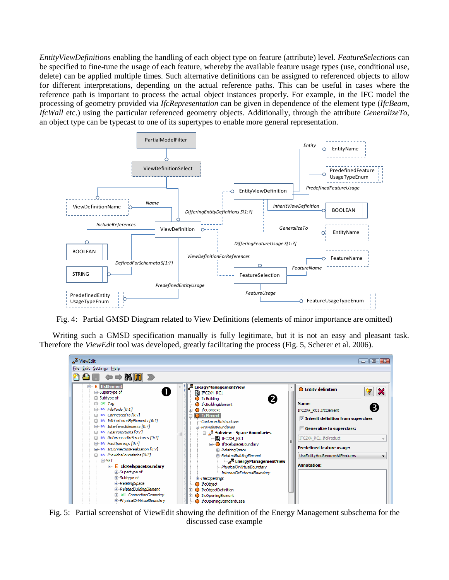*EntityViewDefinition*s enabling the handling of each object type on feature (attribute) level. *FeatureSelection*s can be specified to fine-tune the usage of each feature, whereby the available feature usage types (use, conditional use, delete) can be applied multiple times. Such alternative definitions can be assigned to referenced objects to allow for different interpretations, depending on the actual reference paths. This can be useful in cases where the reference path is important to process the actual object instances properly. For example, in the IFC model the processing of geometry provided via *IfcRepresentation* can be given in dependence of the element type (*IfcBeam*, *IfcWall* etc.) using the particular referenced geometry objects. Additionally, through the attribute *GeneralizeTo*, an object type can be typecast to one of its supertypes to enable more general representation.



Fig. 4: Partial GMSD Diagram related to View Definitions (elements of minor importance are omitted)

Writing such a GMSD specification manually is fully legitimate, but it is not an easy and pleasant task. Therefore the *ViewEdit* tool was developed, greatly facilitating the process (Fig. 5, Scherer et al. 2006).



Fig. 5: Partial screenshot of ViewEdit showing the definition of the Energy Management subschema for the discussed case example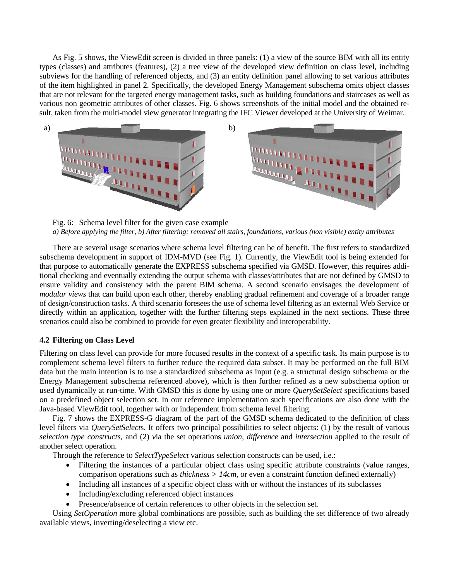As Fig. 5 shows, the ViewEdit screen is divided in three panels: (1) a view of the source BIM with all its entity types (classes) and attributes (features), (2) a tree view of the developed view definition on class level, including subviews for the handling of referenced objects, and (3) an entity definition panel allowing to set various attributes of the item highlighted in panel 2. Specifically, the developed Energy Management subschema omits object classes that are not relevant for the targeted energy management tasks, such as building foundations and staircases as well as various non geometric attributes of other classes. Fig. 6 shows screenshots of the initial model and the obtained result, taken from the multi-model view generator integrating the IFC Viewer developed at the University of Weimar.



Fig. 6: Schema level filter for the given case example *a) Before applying the filter, b) After filtering: removed all stairs, foundations, various (non visible) entity attributes*

There are several usage scenarios where schema level filtering can be of benefit. The first refers to standardized subschema development in support of IDM-MVD (see Fig. 1). Currently, the ViewEdit tool is being extended for that purpose to automatically generate the EXPRESS subschema specified via GMSD. However, this requires additional checking and eventually extending the output schema with classes/attributes that are not defined by GMSD to ensure validity and consistency with the parent BIM schema. A second scenario envisages the development of *modular views* that can build upon each other, thereby enabling gradual refinement and coverage of a broader range of design/construction tasks. A third scenario foresees the use of schema level filtering as an external Web Service or directly within an application, together with the further filtering steps explained in the next sections. These three scenarios could also be combined to provide for even greater flexibility and interoperability.

#### **4.2 Filtering on Class Level**

Filtering on class level can provide for more focused results in the context of a specific task. Its main purpose is to complement schema level filters to further reduce the required data subset. It may be performed on the full BIM data but the main intention is to use a standardized subschema as input (e.g. a structural design subschema or the Energy Management subschema referenced above), which is then further refined as a new subschema option or used dynamically at run-time. With GMSD this is done by using one or more *QuerySetSelect* specifications based on a predefined object selection set. In our reference implementation such specifications are also done with the Java-based ViewEdit tool, together with or independent from schema level filtering.

Fig. 7 shows the EXPRESS-G diagram of the part of the GMSD schema dedicated to the definition of class level filters via *QuerySetSelect*s. It offers two principal possibilities to select objects: (1) by the result of various *selection type constructs,* and (2) *v*ia the set operations *union*, *difference* and *intersection* applied to the result of another select operation.

Through the reference to *SelectTypeSelect* various selection constructs can be used, i.e.:

- Filtering the instances of a particular object class using specific attribute constraints (value ranges, comparison operations such as *thickness > 14cm*, or even a constraint function defined externally)
- Including all instances of a specific object class with or without the instances of its subclasses
- Including/excluding referenced object instances
- Presence/absence of certain references to other objects in the selection set.

Using *SetOperation* more global combinations are possible, such as building the set difference of two already available views, inverting/deselecting a view etc.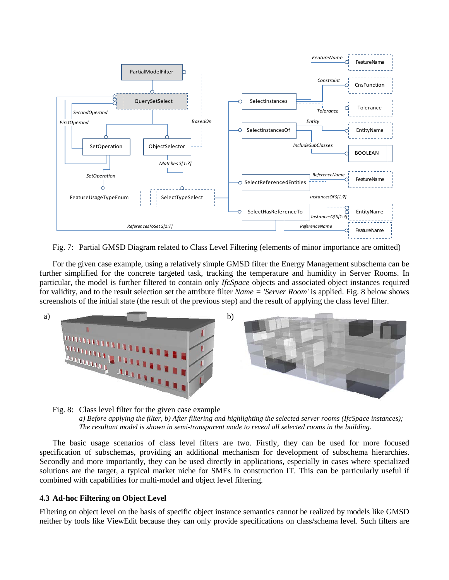

Fig. 7: Partial GMSD Diagram related to Class Level Filtering (elements of minor importance are omitted)

For the given case example, using a relatively simple GMSD filter the Energy Management subschema can be further simplified for the concrete targeted task, tracking the temperature and humidity in Server Rooms. In particular, the model is further filtered to contain only *IfcSpace* objects and associated object instances required for validity, and to the result selection set the attribute filter *Name = 'Server Room'* is applied. Fig. 8 below shows screenshots of the initial state (the result of the previous step) and the result of applying the class level filter.



Fig. 8: Class level filter for the given case example *a) Before applying the filter, b) After filtering and highlighting the selected server rooms (IfcSpace instances); The resultant model is shown in semi-transparent mode to reveal all selected rooms in the building.*

The basic usage scenarios of class level filters are two. Firstly, they can be used for more focused specification of subschemas, providing an additional mechanism for development of subschema hierarchies. Secondly and more importantly, they can be used directly in applications, especially in cases where specialized solutions are the target, a typical market niche for SMEs in construction IT. This can be particularly useful if combined with capabilities for multi-model and object level filtering.

#### **4.3 Ad-hoc Filtering on Object Level**

Filtering on object level on the basis of specific object instance semantics cannot be realized by models like GMSD neither by tools like ViewEdit because they can only provide specifications on class/schema level. Such filters are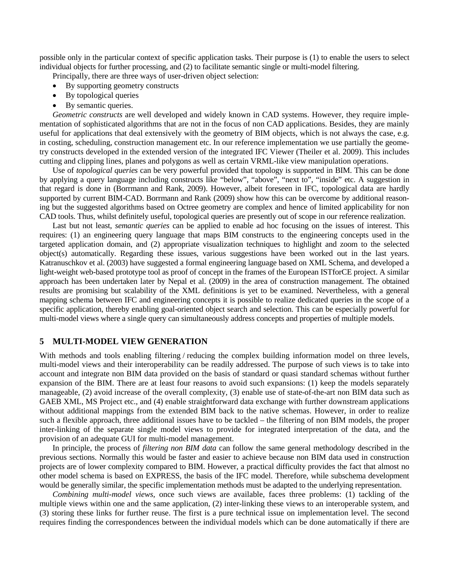possible only in the particular context of specific application tasks. Their purpose is (1) to enable the users to select individual objects for further processing, and (2) to facilitate semantic single or multi-model filtering.

Principally, there are three ways of user-driven object selection:

- By supporting geometry constructs
- By topological queries
- By semantic queries.

*Geometric constructs* are well developed and widely known in CAD systems. However, they require implementation of sophisticated algorithms that are not in the focus of non CAD applications. Besides, they are mainly useful for applications that deal extensively with the geometry of BIM objects, which is not always the case, e.g. in costing, scheduling, construction management etc. In our reference implementation we use partially the geometry constructs developed in the extended version of the integrated IFC Viewer (Theiler et al. 2009). This includes cutting and clipping lines, planes and polygons as well as certain VRML-like view manipulation operations.

Use of *topological queries* can be very powerful provided that topology is supported in BIM. This can be done by applying a query language including constructs like "below", "above", "next to", "inside" etc. A suggestion in that regard is done in (Borrmann and Rank, 2009). However, albeit foreseen in IFC, topological data are hardly supported by current BIM-CAD. Borrmann and Rank (2009) show how this can be overcome by additional reasoning but the suggested algorithms based on Octree geometry are complex and hence of limited applicability for non CAD tools. Thus, whilst definitely useful, topological queries are presently out of scope in our reference realization.

Last but not least, *semantic queries* can be applied to enable ad hoc focusing on the issues of interest. This requires: (1) an engineering query language that maps BIM constructs to the engineering concepts used in the targeted application domain, and (2) appropriate visualization techniques to highlight and zoom to the selected object(s) automatically. Regarding these issues, various suggestions have been worked out in the last years. Katranuschkov et al. (2003) have suggested a formal engineering language based on XML Schema, and developed a light-weight web-based prototype tool as proof of concept in the frames of the European ISTforCE project. A similar approach has been undertaken later by Nepal et al. (2009) in the area of construction management. The obtained results are promising but scalability of the XML definitions is yet to be examined. Nevertheless, with a general mapping schema between IFC and engineering concepts it is possible to realize dedicated queries in the scope of a specific application, thereby enabling goal-oriented object search and selection. This can be especially powerful for multi-model views where a single query can simultaneously address concepts and properties of multiple models.

#### **5 MULTI-MODEL VIEW GENERATION**

With methods and tools enabling filtering / reducing the complex building information model on three levels, multi-model views and their interoperability can be readily addressed. The purpose of such views is to take into account and integrate non BIM data provided on the basis of standard or quasi standard schemas without further expansion of the BIM. There are at least four reasons to avoid such expansions: (1) keep the models separately manageable, (2) avoid increase of the overall complexity, (3) enable use of state-of-the-art non BIM data such as GAEB XML, MS Project etc., and (4) enable straightforward data exchange with further downstream applications without additional mappings from the extended BIM back to the native schemas. However, in order to realize such a flexible approach, three additional issues have to be tackled – the filtering of non BIM models, the proper inter-linking of the separate single model views to provide for integrated interpretation of the data, and the provision of an adequate GUI for multi-model management.

In principle, the process of *filtering non BIM data* can follow the same general methodology described in the previous sections. Normally this would be faster and easier to achieve because non BIM data used in construction projects are of lower complexity compared to BIM. However, a practical difficulty provides the fact that almost no other model schema is based on EXPRESS, the basis of the IFC model. Therefore, while subschema development would be generally similar, the specific implementation methods must be adapted to the underlying representation.

*Combining multi-model views*, once such views are available, faces three problems: (1) tackling of the multiple views within one and the same application, (2) inter-linking these views to an interoperable system, and (3) storing these links for further reuse. The first is a pure technical issue on implementation level. The second requires finding the correspondences between the individual models which can be done automatically if there are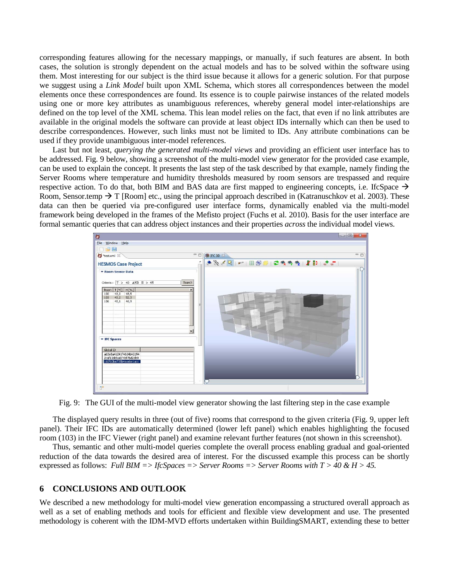corresponding features allowing for the necessary mappings, or manually, if such features are absent. In both cases, the solution is strongly dependent on the actual models and has to be solved within the software using them. Most interesting for our subject is the third issue because it allows for a generic solution. For that purpose we suggest using a *Link Model* built upon XML Schema, which stores all correspondences between the model elements once these correspondences are found. Its essence is to couple pairwise instances of the related models using one or more key attributes as unambiguous references, whereby general model inter-relationships are defined on the top level of the XML schema. This lean model relies on the fact, that even if no link attributes are available in the original models the software can provide at least object IDs internally which can then be used to describe correspondences. However, such links must not be limited to IDs. Any attribute combinations can be used if they provide unambiguous inter-model references.

Last but not least, *querying the generated multi-model views* and providing an efficient user interface has to be addressed. Fig. 9 below, showing a screenshot of the multi-model view generator for the provided case example, can be used to explain the concept. It presents the last step of the task described by that example, namely finding the Server Rooms where temperature and humidity thresholds measured by room sensors are trespassed and require respective action. To do that, both BIM and BAS data are first mapped to engineering concepts, i.e. IfcSpace  $\rightarrow$ Room, Sensor.temp  $\rightarrow$  T [Room] etc., using the principal approach described in (Katranuschkov et al. 2003). These data can then be queried via pre-configured user interface forms, dynamically enabled via the multi-model framework being developed in the frames of the Mefisto project (Fuchs et al. 2010). Basis for the user interface are formal semantic queries that can address object instances and their properties *across* the individual model views.



Fig. 9: The GUI of the multi-model view generator showing the last filtering step in the case example

The displayed query results in three (out of five) rooms that correspond to the given criteria (Fig. 9, upper left panel). Their IFC IDs are automatically determined (lower left panel) which enables highlighting the focused room (103) in the IFC Viewer (right panel) and examine relevant further features (not shown in this screenshot).

Thus, semantic and other multi-model queries complete the overall process enabling gradual and goal-oriented reduction of the data towards the desired area of interest. For the discussed example this process can be shortly expressed as follows: *Full BIM => IfcSpaces => Server Rooms => Server Rooms with T > 40 & H > 45.*

#### **6 CONCLUSIONS AND OUTLOOK**

We described a new methodology for multi-model view generation encompassing a structured overall approach as well as a set of enabling methods and tools for efficient and flexible view development and use. The presented methodology is coherent with the IDM-MVD efforts undertaken within BuildingSMART, extending these to better